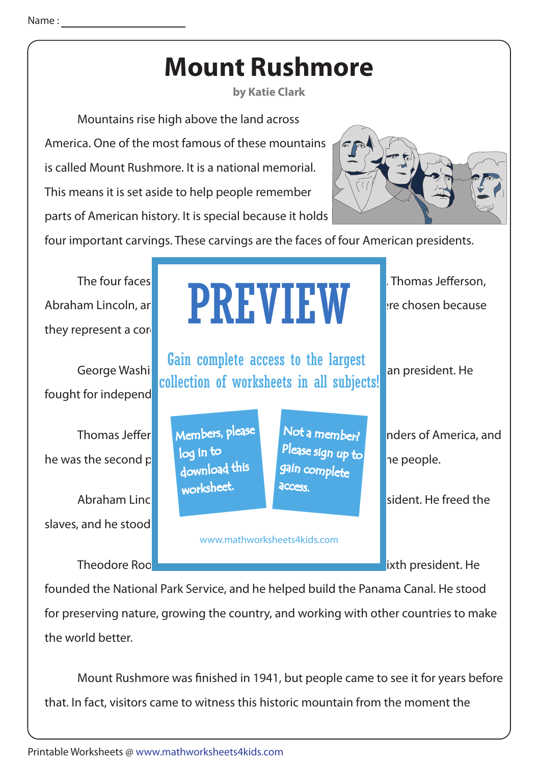## **Mount Rushmore**

**by Katie Clark**

 Mountains rise high above the land across America. One of the most famous of these mountains is called Mount Rushmore. It is a national memorial. This means it is set aside to help people remember parts of American history. It is special because it holds



four important carvings. These carvings are the faces of four American presidents.

| The four faces<br>Abraham Lincoln, ar<br>they represent a core |                                                             | <b>PREVIEW</b>                                                                   | Thomas Jefferson,<br>tre chosen because                     |
|----------------------------------------------------------------|-------------------------------------------------------------|----------------------------------------------------------------------------------|-------------------------------------------------------------|
| George Washi<br>fought for independ                            |                                                             | Gain complete access to the largest<br>collection of worksheets in all subjects! | an president. He                                            |
| <b>Thomas Jeffer</b><br>he was the second p<br>Abraham Linc    | Members, please<br>log in to<br>download this<br>worksheet. | Not a member?<br>Please sign up to<br>gain complete<br>access.                   | nders of America, and<br>ne people.<br>sident. He freed the |
| slaves, and he stood<br><b>Theodore Roo</b>                    | www.mathworksheets4kids.com                                 | ixth president. He                                                               |                                                             |

founded the National Park Service, and he helped build the Panama Canal. He stood for preserving nature, growing the country, and working with other countries to make the world better.

Mount Rushmore was finished in 1941, but people came to see it for years before that. In fact, visitors came to witness this historic mountain from the moment the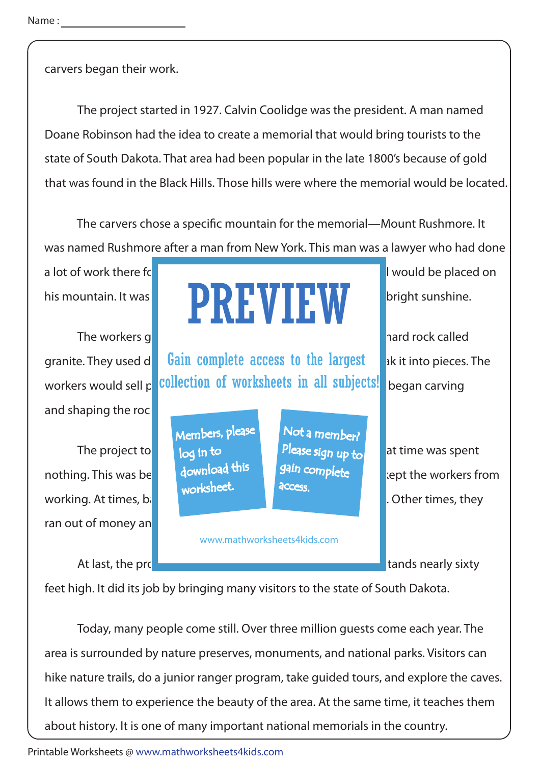carvers began their work.

 The project started in 1927. Calvin Coolidge was the president. A man named Doane Robinson had the idea to create a memorial that would bring tourists to the state of South Dakota. That area had been popular in the late 1800's because of gold that was found in the Black Hills. Those hills were where the memorial would be located.

The carvers chose a specific mountain for the memorial—Mount Rushmore. It was named Rushmore after a man from New York. This man was a lawyer who had done

a lot of work there for the gold mines. The new national memorial mines is new national memorial would be placed on

and shaping the rock

The project to but a lot of the sign up to at time was spent working. At times, bad weather made it has a men to working. At times, they ran out of money an

## his mountain. It was **a beautiful spot to be a beautiful spot to that was highlight** sunshine. PREVIEW

granite. They used d**et Gain complete access to the largest** and it into pieces. The workers would sell p**iece and the rock to guest of worksheets in all subjects!** began carving

> Members, please download this worksheet. log in to

Not a member? gain complete **access** 

www.mathworksheets4kids.com

The workers got right to workers and to work. The mountain was made of hard rock called

nothing. This was because of download times the somplete that workers from

At last, the project was expected memorial stands nearly sixty

feet high. It did its job by bringing many visitors to the state of South Dakota.

 Today, many people come still. Over three million guests come each year. The area is surrounded by nature preserves, monuments, and national parks. Visitors can hike nature trails, do a junior ranger program, take guided tours, and explore the caves. It allows them to experience the beauty of the area. At the same time, it teaches them about history. It is one of many important national memorials in the country.

Printable Worksheets @ www.mathworksheets4kids.com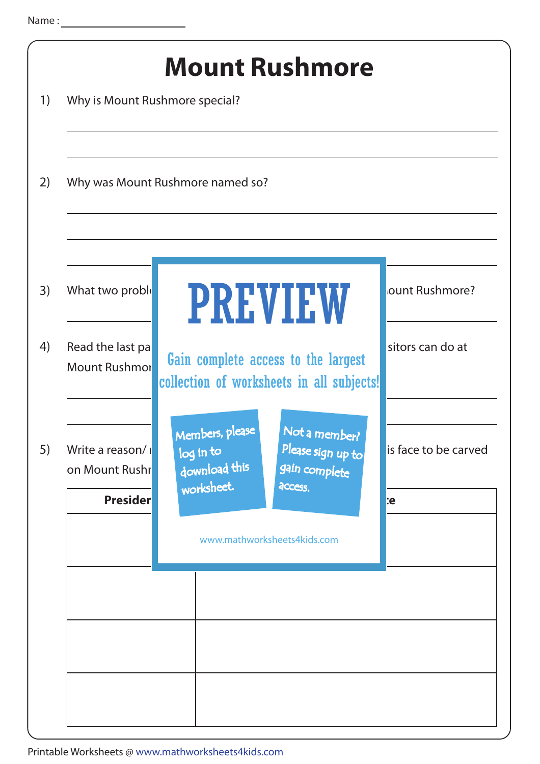| 1)       | Why is Mount Rushmore special?                            | <b>Mount Rushmore</b>                                                                                                                                                                                             |                                    |  |  |
|----------|-----------------------------------------------------------|-------------------------------------------------------------------------------------------------------------------------------------------------------------------------------------------------------------------|------------------------------------|--|--|
| 2)       | Why was Mount Rushmore named so?                          |                                                                                                                                                                                                                   |                                    |  |  |
| 3)<br>4) | What two proble<br>Read the last pa                       | <b>PREVIEW</b>                                                                                                                                                                                                    | ount Rushmore?<br>sitors can do at |  |  |
| 5)       | <b>Mount Rushmor</b><br>Write a reason/<br>on Mount Rushr | Gain complete access to the largest<br>collection of worksheets in all subjects!<br>Not a member?<br>Members, please<br>Please sign up to<br>log in to<br>download this<br>gain complete<br>worksheet.<br>access. | is face to be carved               |  |  |
|          | <b>Presiden</b>                                           | www.mathworksheets4kids.com                                                                                                                                                                                       | e:                                 |  |  |
|          |                                                           |                                                                                                                                                                                                                   |                                    |  |  |